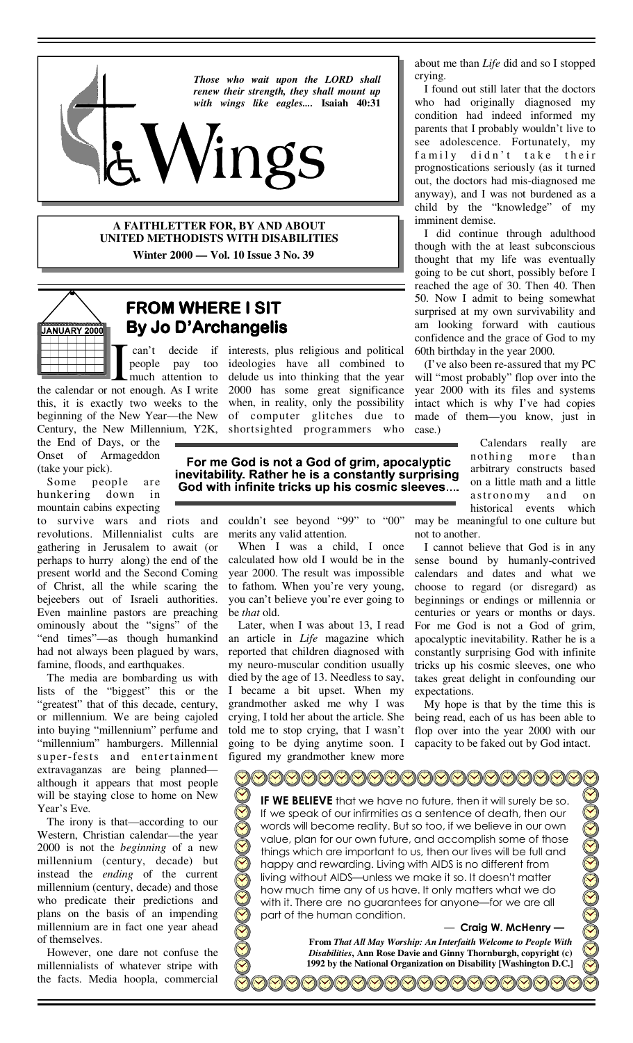

**A FAITHLETTER FOR, BY AND ABOUT UNITED METHODISTS WITH DISABILITIES Winter 2000 — Vol. 10 Issue 3 No. 39**

# **FROM WHERE I SIT By Jo D'Archangelis**

Tran't decide if people pay too much attention to the calendar or not enough. As I write people pay too much attention to

Century, the New Millennium, Y2K, shortsighted programmers who this, it is exactly two weeks to the beginning of the New Year—the New the End of Days, or the

Onset of Armageddon (take your pick).

JANUARY 2000

 Some people are hunkering down in mountain cabins expecting

to survive wars and riots and revolutions. Millennialist cults are gathering in Jerusalem to await (or perhaps to hurry along) the end of the present world and the Second Coming of Christ, all the while scaring the bejeebers out of Israeli authorities. Even mainline pastors are preaching ominously about the "signs" of the "end times"—as though humankind had not always been plagued by wars, famine, floods, and earthquakes.

 The media are bombarding us with lists of the "biggest" this or the "greatest" that of this decade, century, or millennium. We are being cajoled into buying "millennium" perfume and "millennium" hamburgers. Millennial super-fests and entertainment extravaganzas are being planned although it appears that most people will be staying close to home on New Year's Eve.

 The irony is that—according to our Western, Christian calendar—the year 2000 is not the *beginning* of a new millennium (century, decade) but instead the *ending* of the current millennium (century, decade) and those who predicate their predictions and plans on the basis of an impending millennium are in fact one year ahead of themselves.

 However, one dare not confuse the millennialists of whatever stripe with the facts. Media hoopla, commercial interests, plus religious and political ideologies have all combined to delude us into thinking that the year 2000 has some great significance when, in reality, only the possibility of computer glitches due to

For me God is not a God of grim, apocalyptic inevitability. Rather he is a constantly surprising God with infinite tricks up his cosmic sleeves....

> couldn't see beyond "99" to "00" merits any valid attention.

> When I was a child, I once calculated how old I would be in the year 2000. The result was impossible to fathom. When you're very young, you can't believe you're ever going to be *that* old.

> Later, when I was about 13, I read an article in *Life* magazine which reported that children diagnosed with my neuro-muscular condition usually died by the age of 13. Needless to say, I became a bit upset. When my grandmother asked me why I was crying, I told her about the article. She told me to stop crying, that I wasn't going to be dying anytime soon. I figured my grandmother knew more

about me than *Life* did and so I stopped crying.

 I found out still later that the doctors who had originally diagnosed my condition had indeed informed my parents that I probably wouldn't live to see adolescence. Fortunately, my family didn't take their prognostications seriously (as it turned out, the doctors had mis-diagnosed me anyway), and I was not burdened as a child by the "knowledge" of my imminent demise.

 I did continue through adulthood though with the at least subconscious thought that my life was eventually going to be cut short, possibly before I reached the age of 30. Then 40. Then 50. Now I admit to being somewhat surprised at my own survivability and am looking forward with cautious confidence and the grace of God to my 60th birthday in the year 2000.

 (I've also been re-assured that my PC will "most probably" flop over into the year 2000 with its files and systems intact which is why I've had copies made of them—you know, just in case.)

> Calendars really are nothing more than arbitrary constructs based on a little math and a little astronomy and on historical events which

may be meaningful to one culture but not to another.

 I cannot believe that God is in any sense bound by humanly-contrived calendars and dates and what we choose to regard (or disregard) as beginnings or endings or millennia or centuries or years or months or days. For me God is not a God of grim, apocalyptic inevitability. Rather he is a constantly surprising God with infinite tricks up his cosmic sleeves, one who takes great delight in confounding our expectations.

 My hope is that by the time this is being read, each of us has been able to flop over into the year 2000 with our capacity to be faked out by God intact.

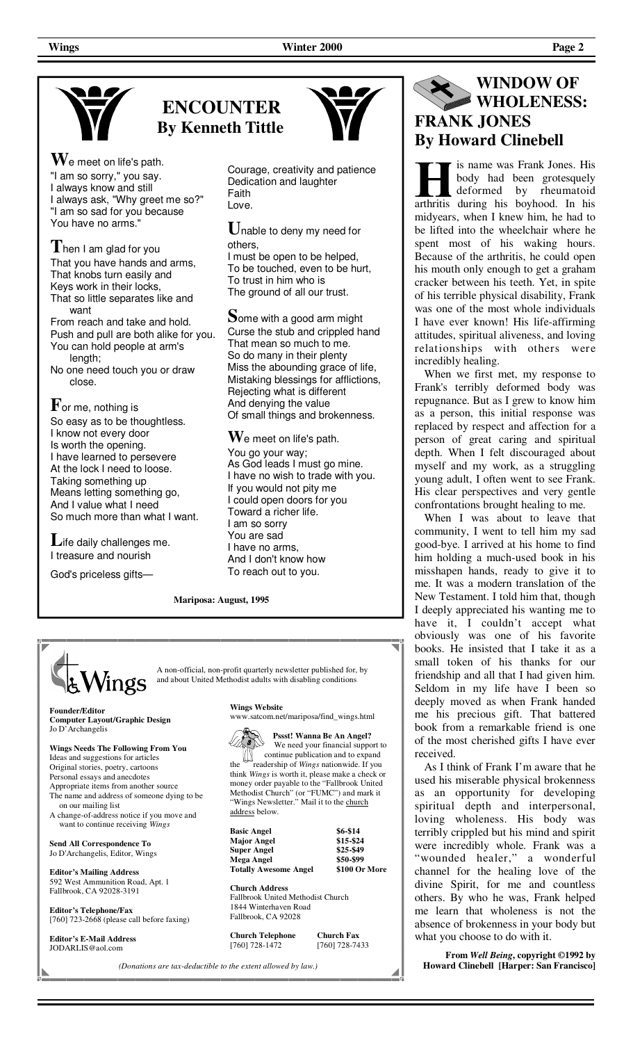

**W**e meet on life's path. "I am so sorry," you say. I always know and still I always ask, "Why greet me so?" "I am so sad for you because You have no arms."

**T**hen I am glad for you That you have hands and arms, That knobs turn easily and Keys work in their locks, That so little separates like and want From reach and take and hold.

Push and pull are both alike for you. You can hold people at arm's length;

No one need touch you or draw close.

**F**'or me, nothing is So easy as to be thoughtless. I know not every door Is worth the opening. I have learned to persevere At the lock I need to loose. Taking something up Means letting something go, And I value what I need So much more than what I want.

**L**ife daily challenges me. I treasure and nourish

God's priceless gifts—



Courage, creativity and patience Dedication and laughter Faith Love.

Unable to deny my need for others,

I must be open to be helped, To be touched, even to be hurt, To trust in him who is The ground of all our trust.

**S**ome with a good arm might Curse the stub and crippled hand That mean so much to me. So do many in their plenty Miss the abounding grace of life, Mistaking blessings for afflictions, Rejecting what is different And denying the value Of small things and brokenness.

## **W**e meet on life's path.

You go your way; As God leads I must go mine. I have no wish to trade with you. If you would not pity me I could open doors for you Toward a richer life. I am so sorry You are sad I have no arms, And I don't know how To reach out to you.

**Mariposa: August, 1995**



**Founder/Editor Computer Layout/Graphic Design**  Jo D'Archangelis

**Wings Needs The Following From You**  Ideas and suggestions for articles

- Original stories, poetry, cartoons Personal essays and anecdotes Appropriate items from another source The name and address of someone dying to be
- on our mailing list A change-of-address notice if you move and want to continue receiving *Wings*

**Send All Correspondence To**  Jo D'Archangelis, Editor, Wings

**Editor's Mailing Address**  592 West Ammunition Road, Apt. 1 Fallbrook, CA 92028-3191

**Editor's Telephone/Fax**  [760] 723-2668 (please call before faxing)

**Editor's E-Mail Address** JODARLIS@aol.com

 A non-official, non-profit quarterly newsletter published for, by and about United Methodist adults with disabling conditions

#### **Wings Website**





| <b>Basic Angel</b>           | \$6-\$14      |
|------------------------------|---------------|
| <b>Major Angel</b>           | \$15-\$24     |
| <b>Super Angel</b>           | \$25-\$49     |
| Mega Angel                   | \$50-\$99     |
| <b>Totally Awesome Angel</b> | \$100 Or More |

**Church Address**  Fallbrook United Methodist Church 1844 Winterhaven Road Fallbrook, CA 92028

**Church Telephone Church Fax**<br>[760] 728-1472 [760] 728-74

[760] 728-1472 [760] 728-7433

*(Donations are tax-deductible to the extent allowed by law.)*

## **WINDOW OF WHOLENESS: FRANK JONES By Howard Clinebell**

is name was Frank Jones. His body had been grotesquely deformed by rheumatoid arthritis during his boyhood. In his midyears, when I knew him, he had to be lifted into the wheelchair where he spent most of his waking hours. Because of the arthritis, he could open his mouth only enough to get a graham cracker between his teeth. Yet, in spite of his terrible physical disability, Frank was one of the most whole individuals I have ever known! His life-affirming attitudes, spiritual aliveness, and loving relationships with others were incredibly healing.

 When we first met, my response to Frank's terribly deformed body was repugnance. But as I grew to know him as a person, this initial response was replaced by respect and affection for a person of great caring and spiritual depth. When I felt discouraged about myself and my work, as a struggling young adult, I often went to see Frank. His clear perspectives and very gentle confrontations brought healing to me.

 When I was about to leave that community, I went to tell him my sad good-bye. I arrived at his home to find him holding a much-used book in his misshapen hands, ready to give it to me. It was a modern translation of the New Testament. I told him that, though I deeply appreciated his wanting me to have it, I couldn't accept what obviously was one of his favorite books. He insisted that I take it as a small token of his thanks for our friendship and all that I had given him. Seldom in my life have I been so deeply moved as when Frank handed me his precious gift. That battered book from a remarkable friend is one of the most cherished gifts I have ever received.

 As I think of Frank I'm aware that he used his miserable physical brokenness as an opportunity for developing spiritual depth and interpersonal, loving wholeness. His body was terribly crippled but his mind and spirit were incredibly whole. Frank was a "wounded healer," a wonderful channel for the healing love of the divine Spirit, for me and countless others. By who he was, Frank helped me learn that wholeness is not the absence of brokenness in your body but what you choose to do with it.

**From** *Well Being***, copyright ©1992 by Howard Clinebell [Harper: San Francisco]**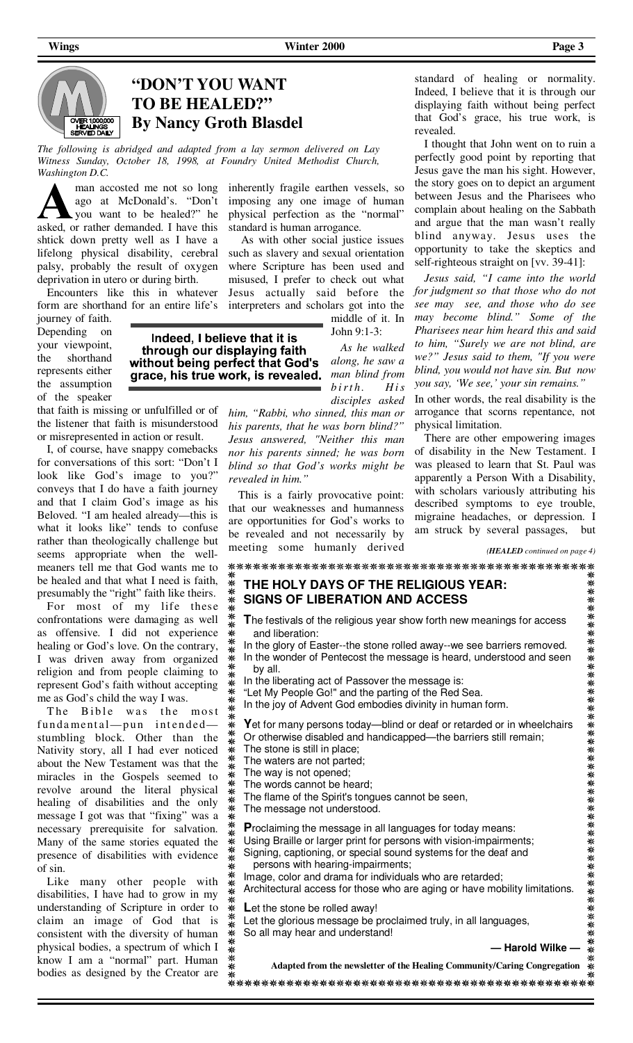**Wings** Page 3

# OVER 1,000,000<br>HEALINGS<br>SERVED DAILY

# **"DON'T YOU WANT TO BE HEALED?" By Nancy Groth Blasdel**

*The following is abridged and adapted from a lay sermon delivered on Lay Witness Sunday, October 18, 1998, at Foundry United Methodist Church, Washington D.C.* 

man accosted me not so long ago at McDonald's. "Don't you want to be healed?" he asked, or rather demanded. I have this shtick down pretty well as I have a lifelong physical disability, cerebral palsy, probably the result of oxygen deprivation in utero or during birth.

 Encounters like this in whatever form are shorthand for an entire life's

journey of faith. Depending on your viewpoint, the shorthand represents either the assumption of the speaker

through our displaying faith without being perfect that God's grace, his true work, is revealed.

that faith is missing or unfulfilled or of the listener that faith is misunderstood or misrepresented in action or result.

 I, of course, have snappy comebacks for conversations of this sort: "Don't I look like God's image to you?" conveys that I do have a faith journey and that I claim God's image as his Beloved. "I am healed already—this is what it looks like" tends to confuse rather than theologically challenge but seems appropriate when the wellmeaners tell me that God wants me to be healed and that what I need is faith, presumably the "right" faith like theirs.

 For most of my life these confrontations were damaging as well as offensive. I did not experience healing or God's love. On the contrary, I was driven away from organized religion and from people claiming to represent God's faith without accepting me as God's child the way I was.

The Bible was the most fundamental—pun intendedstumbling block. Other than the Nativity story, all I had ever noticed about the New Testament was that the miracles in the Gospels seemed to revolve around the literal physical healing of disabilities and the only message I got was that "fixing" was a necessary prerequisite for salvation. Many of the same stories equated the presence of disabilities with evidence of sin.

 Like many other people with disabilities, I have had to grow in my understanding of Scripture in order to claim an image of God that is consistent with the diversity of human physical bodies, a spectrum of which I know I am a "normal" part. Human bodies as designed by the Creator are

inherently fragile earthen vessels, so imposing any one image of human physical perfection as the "normal" standard is human arrogance.

 As with other social justice issues such as slavery and sexual orientation where Scripture has been used and misused, I prefer to check out what Jesus actually said before the interpreters and scholars got into the

> middle of it. In John  $9.1-3$

 *As he walked along, he saw a man blind from birth His disciples asked* 

*him, "Rabbi, who sinned, this man or his parents, that he was born blind?" Jesus answered, "Neither this man nor his parents sinned; he was born blind so that God's works might be revealed in him."* 

 This is a fairly provocative point: that our weaknesses and humanness are opportunities for God's works to be revealed and not necessarily by meeting some humanly derived

standard of healing or normality. Indeed, I believe that it is through our displaying faith without being perfect that God's grace, his true work, is revealed.

 I thought that John went on to ruin a perfectly good point by reporting that Jesus gave the man his sight. However, the story goes on to depict an argument between Jesus and the Pharisees who complain about healing on the Sabbath and argue that the man wasn't really blind anyway. Jesus uses the opportunity to take the skeptics and self-righteous straight on [vv. 39-41]:

 *Jesus said, "I came into the world for judgment so that those who do not see may see, and those who do see may become blind." Some of the Pharisees near him heard this and said to him, "Surely we are not blind, are we?" Jesus said to them, "If you were blind, you would not have sin. But now you say, 'We see,' your sin remains."* 

In other words, the real disability is the arrogance that scorns repentance, not physical limitation.

 There are other empowering images of disability in the New Testament. I was pleased to learn that St. Paul was apparently a Person With a Disability, with scholars variously attributing his described symptoms to eye trouble, migraine headaches, or depression. I am struck by several passages, but

*(HEALED continued on page 4)* 

⋇ 

## **THE HOLY DAYS OF THE RELIGIOUS YEAR: SIGNS OF LIBERATION AND ACCESS**

**T**he festivals of the religious year show forth new meanings for access and liberation:

In the glory of Easter--the stone rolled away--we see barriers removed. In the wonder of Pentecost the message is heard, understood and seen by all.

In the liberating act of Passover the message is:

"Let My People Go!" and the parting of the Red Sea.

In the joy of Advent God embodies divinity in human form.

**Y**et for many persons today—blind or deaf or retarded or in wheelchairs Or otherwise disabled and handicapped—the barriers still remain; The stone is still in place;

- The waters are not parted;
- The way is not opened;

The words cannot be heard;

The flame of the Spirit's tongues cannot be seen,

The message not understood.

**P**roclaiming the message in all languages for today means:

Using Braille or larger print for persons with vision-impairments; Signing, captioning, or special sound systems for the deaf and persons with hearing-impairments;

Image, color and drama for individuals who are retarded;

Architectural access for those who are aging or have mobility limitations.

**L**et the stone be rolled away!

Let the glorious message be proclaimed truly, in all languages, So all may hear and understand!

**— Harold Wilke —** 

\*\*\*

**Adapted from the newsletter of the Healing Community/Caring Congregation** 

Indeed, I believe that it is